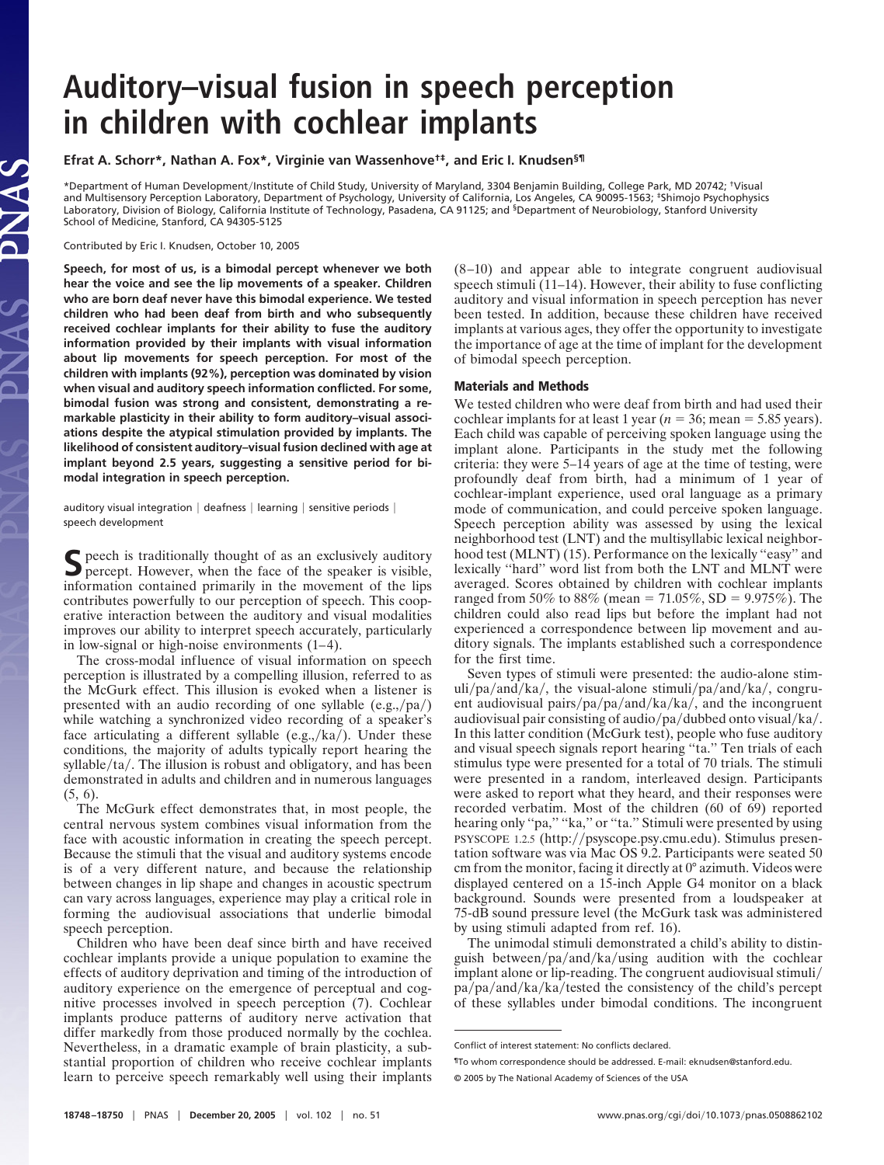## **Auditory–visual fusion in speech perception in children with cochlear implants**

**Efrat A. Schorr\*, Nathan A. Fox\*, Virginie van Wassenhove†‡, and Eric I. Knudsen§¶**

\*Department of Human Development/Institute of Child Study, University of Maryland, 3304 Benjamin Building, College Park, MD 20742; <sup>†</sup>Visual and Multisensory Perception Laboratory, Department of Psychology, University of California, Los Angeles, CA 90095-1563; ‡Shimojo Psychophysics Laboratory, Division of Biology, California Institute of Technology, Pasadena, CA 91125; and <sup>§</sup>Department of Neurobiology, Stanford University School of Medicine, Stanford, CA 94305-5125

Contributed by Eric I. Knudsen, October 10, 2005

**Speech, for most of us, is a bimodal percept whenever we both hear the voice and see the lip movements of a speaker. Children who are born deaf never have this bimodal experience. We tested children who had been deaf from birth and who subsequently received cochlear implants for their ability to fuse the auditory information provided by their implants with visual information about lip movements for speech perception. For most of the children with implants (92%), perception was dominated by vision when visual and auditory speech information conflicted. For some, bimodal fusion was strong and consistent, demonstrating a remarkable plasticity in their ability to form auditory–visual associations despite the atypical stimulation provided by implants. The likelihood of consistent auditory–visual fusion declined with age at implant beyond 2.5 years, suggesting a sensitive period for bimodal integration in speech perception.**

auditory visual integration | deafness | learning | sensitive periods | speech development

S peech is traditionally thought of as an exclusively auditory percept. However, when the face of the speaker is visible, information contained primarily in the movement of the lips contributes powerfully to our perception of speech. This cooperative interaction between the auditory and visual modalities improves our ability to interpret speech accurately, particularly in low-signal or high-noise environments (1–4).

The cross-modal influence of visual information on speech perception is illustrated by a compelling illusion, referred to as the McGurk effect. This illusion is evoked when a listener is presented with an audio recording of one syllable  $(e.g.,p)^$ while watching a synchronized video recording of a speaker's face articulating a different syllable  $(e.g.,/ka/)$ . Under these conditions, the majority of adults typically report hearing the  $s$ yllable $/ta/$ . The illusion is robust and obligatory, and has been demonstrated in adults and children and in numerous languages (5, 6).

The McGurk effect demonstrates that, in most people, the central nervous system combines visual information from the face with acoustic information in creating the speech percept. Because the stimuli that the visual and auditory systems encode is of a very different nature, and because the relationship between changes in lip shape and changes in acoustic spectrum can vary across languages, experience may play a critical role in forming the audiovisual associations that underlie bimodal speech perception.

Children who have been deaf since birth and have received cochlear implants provide a unique population to examine the effects of auditory deprivation and timing of the introduction of auditory experience on the emergence of perceptual and cognitive processes involved in speech perception (7). Cochlear implants produce patterns of auditory nerve activation that differ markedly from those produced normally by the cochlea. Nevertheless, in a dramatic example of brain plasticity, a substantial proportion of children who receive cochlear implants learn to perceive speech remarkably well using their implants

(8–10) and appear able to integrate congruent audiovisual speech stimuli (11–14). However, their ability to fuse conflicting auditory and visual information in speech perception has never been tested. In addition, because these children have received implants at various ages, they offer the opportunity to investigate the importance of age at the time of implant for the development of bimodal speech perception.

## **Materials and Methods**

We tested children who were deaf from birth and had used their cochlear implants for at least 1 year ( $n = 36$ ; mean = 5.85 years). Each child was capable of perceiving spoken language using the implant alone. Participants in the study met the following criteria: they were 5–14 years of age at the time of testing, were profoundly deaf from birth, had a minimum of 1 year of cochlear-implant experience, used oral language as a primary mode of communication, and could perceive spoken language. Speech perception ability was assessed by using the lexical neighborhood test (LNT) and the multisyllabic lexical neighborhood test (MLNT) (15). Performance on the lexically "easy" and lexically ''hard'' word list from both the LNT and MLNT were averaged. Scores obtained by children with cochlear implants ranged from 50% to 88% (mean = 71.05%, SD = 9.975%). The children could also read lips but before the implant had not experienced a correspondence between lip movement and auditory signals. The implants established such a correspondence for the first time.

Seven types of stimuli were presented: the audio-alone stim- $\text{uli}/\text{pa}/\text{and}/\text{ka}/$ , the visual-alone stimuli/ $\text{pa}/\text{and}/\text{ka}/$ , congruent audiovisual pairs/pa/pa/and/ka/ka/, and the incongruent audiovisual pair consisting of audio/ $pa/dubbed$  onto visual/ $ka/$ . In this latter condition (McGurk test), people who fuse auditory and visual speech signals report hearing ''ta.'' Ten trials of each stimulus type were presented for a total of 70 trials. The stimuli were presented in a random, interleaved design. Participants were asked to report what they heard, and their responses were recorded verbatim. Most of the children (60 of 69) reported hearing only "pa," "ka," or "ta." Stimuli were presented by using PSYSCOPE 1.2.5 (http://psyscope.psy.cmu.edu). Stimulus presentation software was via Mac OS 9.2. Participants were seated 50 cm from the monitor, facing it directly at 0° azimuth. Videos were displayed centered on a 15-inch Apple G4 monitor on a black background. Sounds were presented from a loudspeaker at 75-dB sound pressure level (the McGurk task was administered by using stimuli adapted from ref. 16).

The unimodal stimuli demonstrated a child's ability to distinguish between/pa/and/ka/using audition with the cochlear implant alone or lip-reading. The congruent audiovisual stimuli  $pa/pa/and/ka/kested$  the consistency of the child's percept of these syllables under bimodal conditions. The incongruent

Conflict of interest statement: No conflicts declared.

<sup>¶</sup>To whom correspondence should be addressed. E-mail: eknudsen@stanford.edu. © 2005 by The National Academy of Sciences of the USA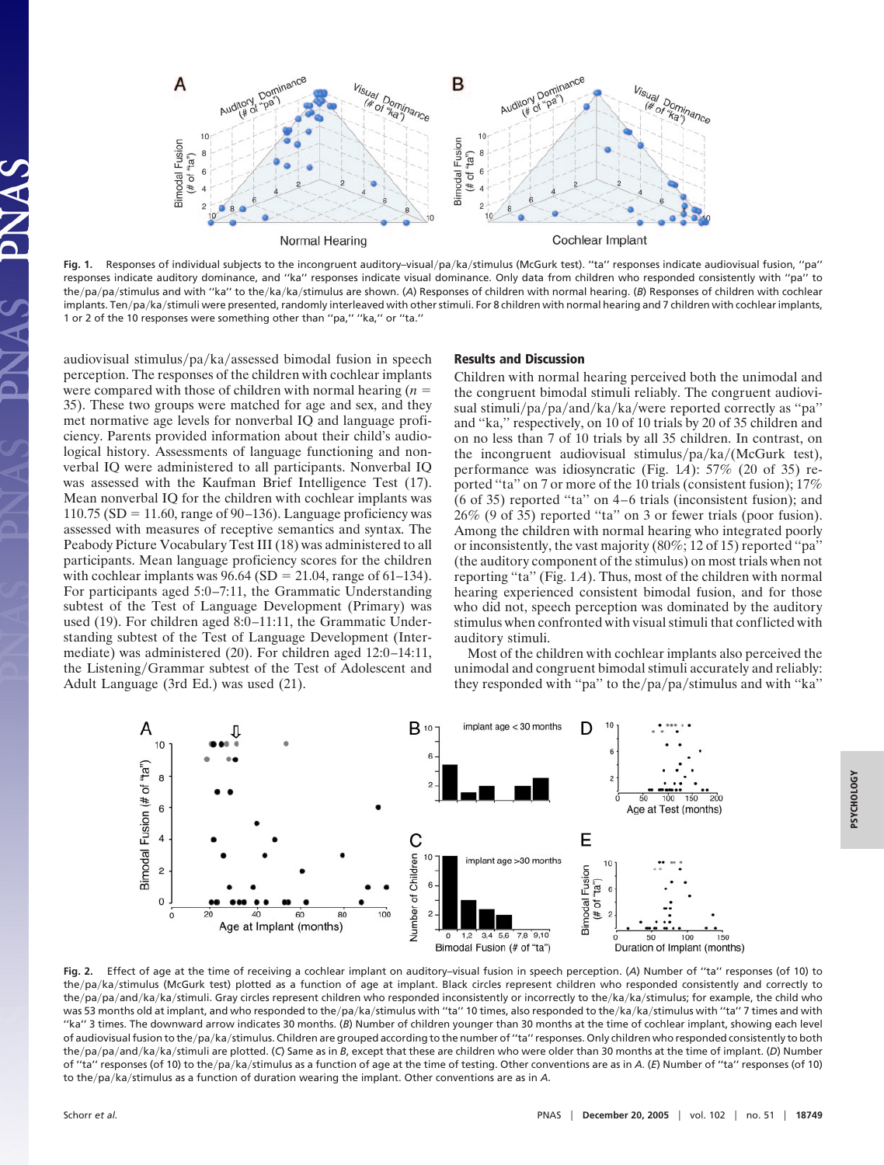

Fig. 1. Responses of individual subjects to the incongruent auditory-visual/pa/ka/stimulus (McGurk test). "ta" responses indicate audiovisual fusion, "pa" responses indicate auditory dominance, and ''ka'' responses indicate visual dominance. Only data from children who responded consistently with ''pa'' to the/pa/pa/stimulus and with "ka" to the/ka/ka/stimulus are shown. (A) Responses of children with normal hearing. (*B*) Responses of children with cochlear implants. Ten/pa/ka/stimuli were presented, randomly interleaved with other stimuli. For 8 children with normal hearing and 7 children with cochlear implants, 1 or 2 of the 10 responses were something other than ''pa,'' ''ka,'' or ''ta.''

audiovisual stimulus/pa/ka/assessed bimodal fusion in speech perception. The responses of the children with cochlear implants were compared with those of children with normal hearing (*n* 35). These two groups were matched for age and sex, and they met normative age levels for nonverbal IQ and language proficiency. Parents provided information about their child's audiological history. Assessments of language functioning and nonverbal IQ were administered to all participants. Nonverbal IQ was assessed with the Kaufman Brief Intelligence Test (17). Mean nonverbal IQ for the children with cochlear implants was 110.75 (SD = 11.60, range of 90–136). Language proficiency was assessed with measures of receptive semantics and syntax. The Peabody Picture Vocabulary Test III (18) was administered to all participants. Mean language proficiency scores for the children with cochlear implants was  $96.64$  (SD = 21.04, range of 61–134). For participants aged 5:0–7:11, the Grammatic Understanding subtest of the Test of Language Development (Primary) was used (19). For children aged 8:0–11:11, the Grammatic Understanding subtest of the Test of Language Development (Intermediate) was administered (20). For children aged 12:0–14:11, the Listening/Grammar subtest of the Test of Adolescent and Adult Language (3rd Ed.) was used (21).

## **Results and Discussion**

Children with normal hearing perceived both the unimodal and the congruent bimodal stimuli reliably. The congruent audiovisual stimuli/pa/pa/and/ka/ka/were reported correctly as "pa" and ''ka,'' respectively, on 10 of 10 trials by 20 of 35 children and on no less than 7 of 10 trials by all 35 children. In contrast, on the incongruent audiovisual stimulus/pa/ka/(McGurk test), performance was idiosyncratic (Fig. 1*A*): 57% (20 of 35) reported "ta" on 7 or more of the 10 trials (consistent fusion); 17% (6 of 35) reported ''ta'' on 4–6 trials (inconsistent fusion); and 26% (9 of 35) reported ''ta'' on 3 or fewer trials (poor fusion). Among the children with normal hearing who integrated poorly or inconsistently, the vast majority (80%; 12 of 15) reported ''pa'' (the auditory component of the stimulus) on most trials when not reporting ''ta'' (Fig. 1*A*). Thus, most of the children with normal hearing experienced consistent bimodal fusion, and for those who did not, speech perception was dominated by the auditory stimulus when confronted with visual stimuli that conflicted with auditory stimuli.

Most of the children with cochlear implants also perceived the unimodal and congruent bimodal stimuli accurately and reliably: they responded with "pa" to the/pa/pa/stimulus and with "ka"



**Fig. 2.** Effect of age at the time of receiving a cochlear implant on auditory–visual fusion in speech perception. (*A*) Number of ''ta'' responses (of 10) to the/pa/ka/stimulus (McGurk test) plotted as a function of age at implant. Black circles represent children who responded consistently and correctly to the/pa/pa/and/ka/ka/stimuli. Gray circles represent children who responded inconsistently or incorrectly to the/ka/ka/stimulus; for example, the child who was 53 months old at implant, and who responded to the/pa/ka/stimulus with "ta" 10 times, also responded to the/ka/ka/stimulus with "ta" 7 times and with "ka" 3 times. The downward arrow indicates 30 months. (B) Number of children younger than 30 months at the time of cochlear implant, showing each level of audiovisual fusion to the/pa/ka/stimulus. Children are grouped according to the number of "ta" responses. Only children who responded consistently to both the/pa/pa/and/ka/ka/stimuli are plotted. (*C*) Same as in *B*, except that these are children who were older than 30 months at the time of implant. (*D*) Number of "ta" responses (of 10) to the/pa/ka/stimulus as a function of age at the time of testing. Other conventions are as in *A*. (E) Number of "ta" responses (of 10) to the/pa/ka/stimulus as a function of duration wearing the implant. Other conventions are as in A.